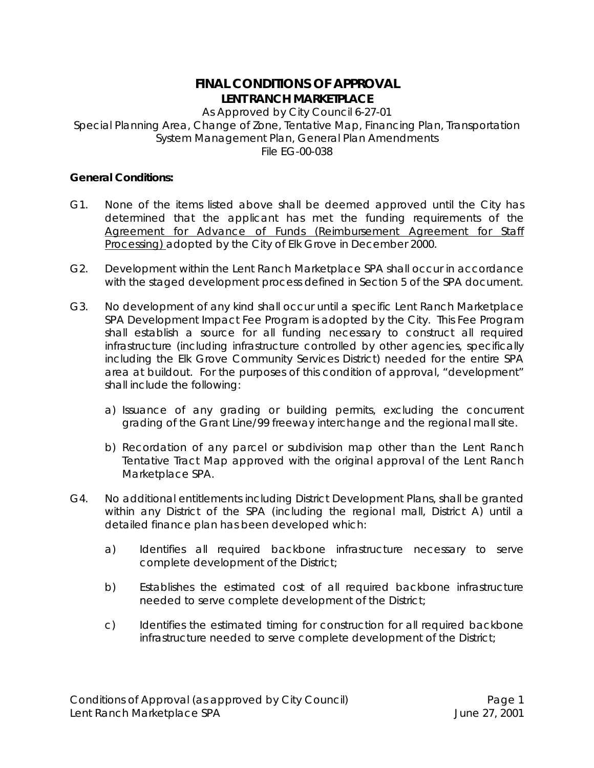# **FINAL CONDITIONS OF APPROVAL LENT RANCH MARKETPLACE**

As Approved by City Council 6-27-01 Special Planning Area, Change of Zone, Tentative Map, Financing Plan, Transportation System Management Plan, General Plan Amendments File EG-00-038

# **General Conditions:**

- G1. None of the items listed above shall be deemed approved until the City has determined that the applicant has met the funding requirements of the Agreement for Advance of Funds (Reimbursement Agreement for Staff Processing) adopted by the City of Elk Grove in December 2000.
- G2. Development within the Lent Ranch Marketplace SPA shall occur in accordance with the staged development process defined in Section 5 of the SPA document.
- G3. No development of any kind shall occur until a specific Lent Ranch Marketplace SPA Development Impact Fee Program is adopted by the City. This Fee Program shall establish a source for all funding necessary to construct all required infrastructure (including infrastructure controlled by other agencies, specifically including the Elk Grove Community Services District) needed for the entire SPA area at buildout. For the purposes of this condition of approval, "development" shall include the following:
	- a) Issuance of any grading or building permits, excluding the concurrent grading of the Grant Line/99 freeway interchange and the regional mall site.
	- b) Recordation of any parcel or subdivision map other than the Lent Ranch Tentative Tract Map approved with the original approval of the Lent Ranch Marketplace SPA.
- G4. No additional entitlements including District Development Plans, shall be granted within any District of the SPA (including the regional mall, District A) until a detailed finance plan has been developed which:
	- a) Identifies all required backbone infrastructure necessary to serve complete development of the District;
	- b) Establishes the estimated cost of all required backbone infrastructure needed to serve complete development of the District;
	- c) Identifies the estimated timing for construction for all required backbone infrastructure needed to serve complete development of the District;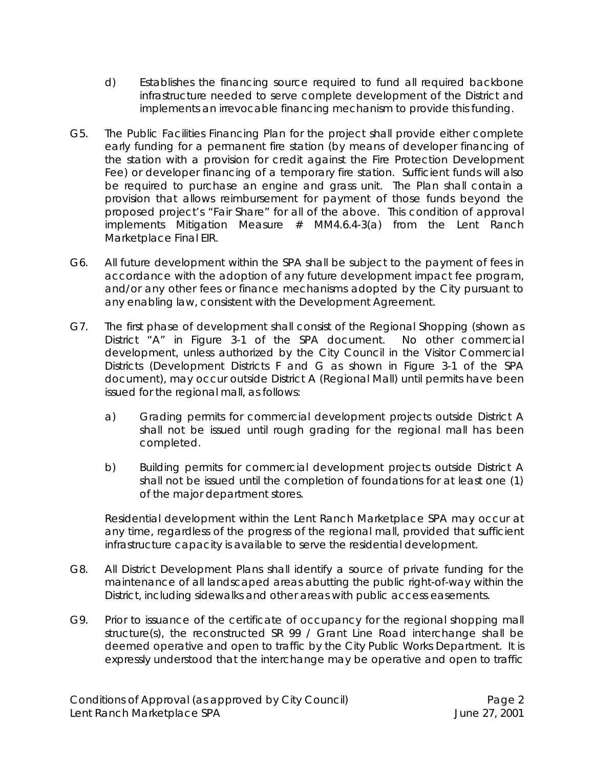- d) Establishes the financing source required to fund all required backbone infrastructure needed to serve complete development of the District and implements an irrevocable financing mechanism to provide this funding.
- G5. The Public Facilities Financing Plan for the project shall provide either complete early funding for a permanent fire station (by means of developer financing of the station with a provision for credit against the Fire Protection Development Fee) or developer financing of a temporary fire station. Sufficient funds will also be required to purchase an engine and grass unit. The Plan shall contain a provision that allows reimbursement for payment of those funds beyond the proposed project's "Fair Share" for all of the above. *This condition of approval implements Mitigation Measure # MM4.6.4-3(a) from the Lent Ranch Marketplace Final EIR.*
- G6. All future development within the SPA shall be subject to the payment of fees in accordance with the adoption of any future development impact fee program, and/or any other fees or finance mechanisms adopted by the City pursuant to any enabling law, consistent with the Development Agreement.
- G7. The first phase of development shall consist of the Regional Shopping (shown as District "A" in Figure 3-1 of the SPA document. No other commercial development, unless authorized by the City Council in the Visitor Commercial Districts (Development Districts F and G as shown in Figure 3-1 of the SPA document), may occur outside District A (Regional Mall) until permits have been issued for the regional mall, as follows:
	- a) Grading permits for commercial development projects outside District A shall not be issued until rough grading for the regional mall has been completed.
	- b) Building permits for commercial development projects outside District A shall not be issued until the completion of foundations for at least one (1) of the major department stores.

Residential development within the Lent Ranch Marketplace SPA may occur at any time, regardless of the progress of the regional mall, provided that sufficient infrastructure capacity is available to serve the residential development.

- G8. All District Development Plans shall identify a source of private funding for the maintenance of all landscaped areas abutting the public right-of-way within the District, including sidewalks and other areas with public access easements.
- G9. Prior to issuance of the certificate of occupancy for the regional shopping mall structure(s), the reconstructed SR 99 / Grant Line Road interchange shall be deemed operative and open to traffic by the City Public Works Department. It is expressly understood that the interchange may be operative and open to traffic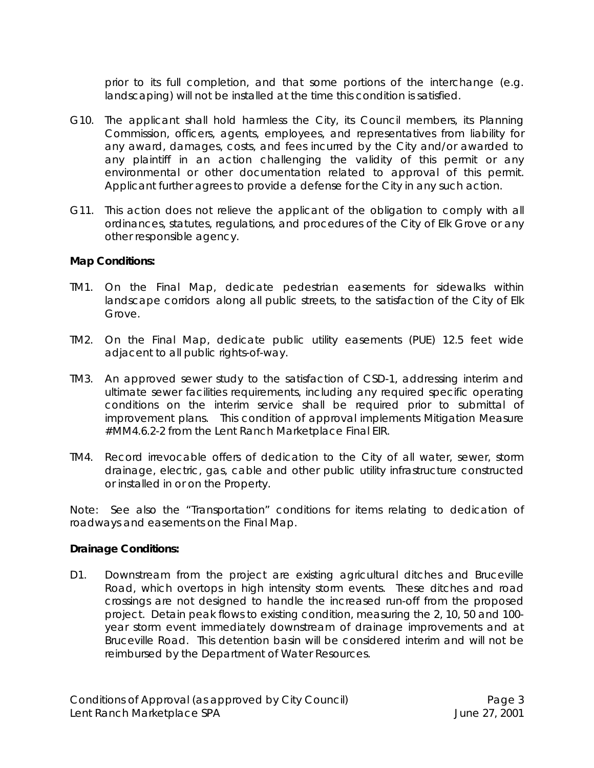prior to its full completion, and that some portions of the interchange (e.g. landscaping) will not be installed at the time this condition is satisfied.

- G10. The applicant shall hold harmless the City, its Council members, its Planning Commission, officers, agents, employees, and representatives from liability for any award, damages, costs, and fees incurred by the City and/or awarded to any plaintiff in an action challenging the validity of this permit or any environmental or other documentation related to approval of this permit. Applicant further agrees to provide a defense for the City in any such action.
- G11. This action does not relieve the applicant of the obligation to comply with all ordinances, statutes, regulations, and procedures of the City of Elk Grove or any other responsible agency.

# **Map Conditions:**

- TM1. On the Final Map, dedicate pedestrian easements for sidewalks within landscape corridors along all public streets, to the satisfaction of the City of Elk Grove.
- TM2. On the Final Map, dedicate public utility easements (PUE) 12.5 feet wide adjacent to all public rights-of-way.
- TM3. An approved sewer study to the satisfaction of CSD-1, addressing interim and ultimate sewer facilities requirements, including any required specific operating conditions on the interim service shall be required prior to submittal of improvement plans. *This condition of approval implements Mitigation Measure #MM4.6.2-2 from the Lent Ranch Marketplace Final EIR*.
- TM4. Record irrevocable offers of dedication to the City of all water, sewer, storm drainage, electric, gas, cable and other public utility infrastructure constructed or installed in or on the Property.

*Note: See also the "Transportation" conditions for items relating to dedication of roadways and easements on the Final Map.*

#### **Drainage Conditions:**

D1. Downstream from the project are existing agricultural ditches and Bruceville Road, which overtops in high intensity storm events. These ditches and road crossings are not designed to handle the increased run-off from the proposed project. Detain peak flows to existing condition, measuring the 2, 10, 50 and 100 year storm event immediately downstream of drainage improvements and at Bruceville Road. This detention basin will be considered interim and will not be reimbursed by the Department of Water Resources.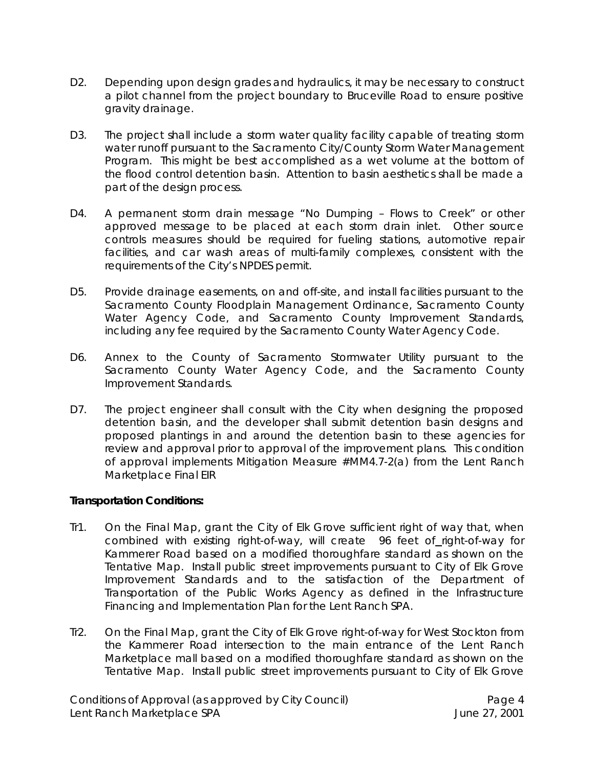- D2. Depending upon design grades and hydraulics, it may be necessary to construct a pilot channel from the project boundary to Bruceville Road to ensure positive gravity drainage.
- D3. The project shall include a storm water quality facility capable of treating storm water runoff pursuant to the Sacramento City/County Storm Water Management Program. This might be best accomplished as a wet volume at the bottom of the flood control detention basin. Attention to basin aesthetics shall be made a part of the design process.
- D4. A permanent storm drain message "No Dumping Flows to Creek" or other approved message to be placed at each storm drain inlet. Other source controls measures should be required for fueling stations, automotive repair facilities, and car wash areas of multi-family complexes, consistent with the requirements of the City's NPDES permit.
- D5. Provide drainage easements, on and off-site, and install facilities pursuant to the Sacramento County Floodplain Management Ordinance, Sacramento County Water Agency Code, and Sacramento County Improvement Standards, including any fee required by the Sacramento County Water Agency Code.
- D6. Annex to the County of Sacramento Stormwater Utility pursuant to the Sacramento County Water Agency Code, and the Sacramento County Improvement Standards.
- D7. The project engineer shall consult with the City when designing the proposed detention basin, and the developer shall submit detention basin designs and proposed plantings in and around the detention basin to these agencies for review and approval prior to approval of the improvement plans. *This condition of approval implements Mitigation Measure #MM4.7-2(a) from the Lent Ranch Marketplace Final EIR*

# **Transportation Conditions:**

- Tr1. On the Final Map, grant the City of Elk Grove sufficient right of way that, when combined with existing right-of-way, will create 96 feet of\_right-of-way for Kammerer Road based on a modified thoroughfare standard as shown on the Tentative Map. Install public street improvements pursuant to City of Elk Grove Improvement Standards and to the satisfaction of the Department of Transportation of the Public Works Agency as defined in the Infrastructure Financing and Implementation Plan for the Lent Ranch SPA.
- Tr2. On the Final Map, grant the City of Elk Grove right-of-way for West Stockton from the Kammerer Road intersection to the main entrance of the Lent Ranch Marketplace mall based on a modified thoroughfare standard as shown on the Tentative Map. Install public street improvements pursuant to City of Elk Grove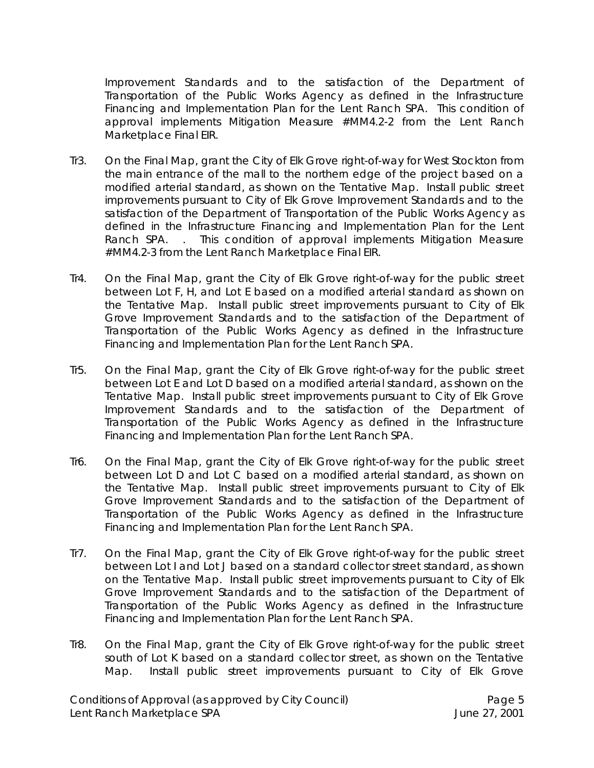Improvement Standards and to the satisfaction of the Department of Transportation of the Public Works Agency as defined in the Infrastructure Financing and Implementation Plan for the Lent Ranch SPA. *This condition of approval implements Mitigation Measure #MM4.2-2 from the Lent Ranch Marketplace Final EIR.*

- Tr3. On the Final Map, grant the City of Elk Grove right-of-way for West Stockton from the main entrance of the mall to the northern edge of the project based on a modified arterial standard, as shown on the Tentative Map. Install public street improvements pursuant to City of Elk Grove Improvement Standards and to the satisfaction of the Department of Transportation of the Public Works Agency as defined in the Infrastructure Financing and Implementation Plan for the Lent Ranch SPA. *. This condition of approval implements Mitigation Measure #MM4.2-3 from the Lent Ranch Marketplace Final EIR.*
- Tr4. On the Final Map, grant the City of Elk Grove right-of-way for the public street between Lot F, H, and Lot E based on a modified arterial standard as shown on the Tentative Map. Install public street improvements pursuant to City of Elk Grove Improvement Standards and to the satisfaction of the Department of Transportation of the Public Works Agency as defined in the Infrastructure Financing and Implementation Plan for the Lent Ranch SPA.
- Tr5. On the Final Map, grant the City of Elk Grove right-of-way for the public street between Lot E and Lot D based on a modified arterial standard, as shown on the Tentative Map. Install public street improvements pursuant to City of Elk Grove Improvement Standards and to the satisfaction of the Department of Transportation of the Public Works Agency as defined in the Infrastructure Financing and Implementation Plan for the Lent Ranch SPA.
- Tr6. On the Final Map, grant the City of Elk Grove right-of-way for the public street between Lot D and Lot C based on a modified arterial standard, as shown on the Tentative Map. Install public street improvements pursuant to City of Elk Grove Improvement Standards and to the satisfaction of the Department of Transportation of the Public Works Agency as defined in the Infrastructure Financing and Implementation Plan for the Lent Ranch SPA.
- Tr7. On the Final Map, grant the City of Elk Grove right-of-way for the public street between Lot I and Lot J based on a standard collector street standard, as shown on the Tentative Map. Install public street improvements pursuant to City of Elk Grove Improvement Standards and to the satisfaction of the Department of Transportation of the Public Works Agency as defined in the Infrastructure Financing and Implementation Plan for the Lent Ranch SPA.
- Tr8. On the Final Map, grant the City of Elk Grove right-of-way for the public street south of Lot K based on a standard collector street, as shown on the Tentative Map. Install public street improvements pursuant to City of Elk Grove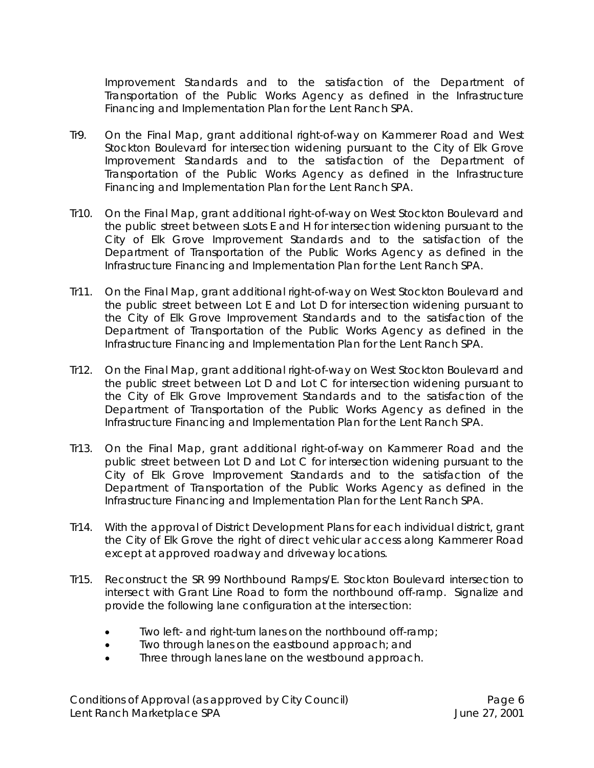Improvement Standards and to the satisfaction of the Department of Transportation of the Public Works Agency as defined in the Infrastructure Financing and Implementation Plan for the Lent Ranch SPA.

- Tr9. On the Final Map, grant additional right-of-way on Kammerer Road and West Stockton Boulevard for intersection widening pursuant to the City of Elk Grove Improvement Standards and to the satisfaction of the Department of Transportation of the Public Works Agency as defined in the Infrastructure Financing and Implementation Plan for the Lent Ranch SPA.
- Tr10. On the Final Map, grant additional right-of-way on West Stockton Boulevard and the public street between sLots E and H for intersection widening pursuant to the City of Elk Grove Improvement Standards and to the satisfaction of the Department of Transportation of the Public Works Agency as defined in the Infrastructure Financing and Implementation Plan for the Lent Ranch SPA.
- Tr11. On the Final Map, grant additional right-of-way on West Stockton Boulevard and the public street between Lot E and Lot D for intersection widening pursuant to the City of Elk Grove Improvement Standards and to the satisfaction of the Department of Transportation of the Public Works Agency as defined in the Infrastructure Financing and Implementation Plan for the Lent Ranch SPA.
- Tr12. On the Final Map, grant additional right-of-way on West Stockton Boulevard and the public street between Lot D and Lot C for intersection widening pursuant to the City of Elk Grove Improvement Standards and to the satisfaction of the Department of Transportation of the Public Works Agency as defined in the Infrastructure Financing and Implementation Plan for the Lent Ranch SPA.
- Tr13. On the Final Map, grant additional right-of-way on Kammerer Road and the public street between Lot D and Lot C for intersection widening pursuant to the City of Elk Grove Improvement Standards and to the satisfaction of the Department of Transportation of the Public Works Agency as defined in the Infrastructure Financing and Implementation Plan for the Lent Ranch SPA.
- Tr14. With the approval of District Development Plans for each individual district, grant the City of Elk Grove the right of direct vehicular access along Kammerer Road except at approved roadway and driveway locations.
- Tr15. Reconstruct the SR 99 Northbound Ramps/E. Stockton Boulevard intersection to intersect with Grant Line Road to form the northbound off-ramp. Signalize and provide the following lane configuration at the intersection:
	- Two left- and right-turn lanes on the northbound off-ramp;
	- Two through lanes on the eastbound approach; and
	- Three through lanes lane on the westbound approach.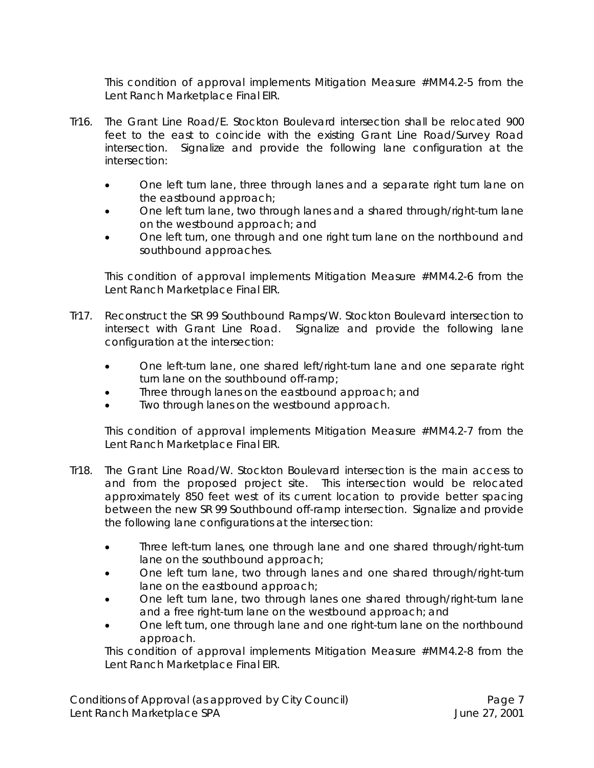*This condition of approval implements Mitigation Measure #MM4.2-5 from the Lent Ranch Marketplace Final EIR.*

- Tr16. The Grant Line Road/E. Stockton Boulevard intersection shall be relocated 900 feet to the east to coincide with the existing Grant Line Road/Survey Road intersection. Signalize and provide the following lane configuration at the intersection:
	- One left turn lane, three through lanes and a separate right turn lane on the eastbound approach;
	- One left turn lane, two through lanes and a shared through/right-turn lane on the westbound approach; and
	- One left turn, one through and one right turn lane on the northbound and southbound approaches.

*This condition of approval implements Mitigation Measure #MM4.2-6 from the Lent Ranch Marketplace Final EIR.*

- Tr17. Reconstruct the SR 99 Southbound Ramps/W. Stockton Boulevard intersection to intersect with Grant Line Road. Signalize and provide the following lane configuration at the intersection:
	- One left-turn lane, one shared left/right-turn lane and one separate right turn lane on the southbound off-ramp;
	- Three through lanes on the eastbound approach; and
	- Two through lanes on the westbound approach.

*This condition of approval implements Mitigation Measure #MM4.2-7 from the Lent Ranch Marketplace Final EIR.*

- Tr18. The Grant Line Road/W. Stockton Boulevard intersection is the main access to and from the proposed project site. This intersection would be relocated approximately 850 feet west of its current location to provide better spacing between the new SR 99 Southbound off-ramp intersection. Signalize and provide the following lane configurations at the intersection:
	- Three left-turn lanes, one through lane and one shared through/right-turn lane on the southbound approach;
	- One left turn lane, two through lanes and one shared through/right-turn lane on the eastbound approach;
	- One left turn lane, two through lanes one shared through/right-turn lane and a free right-turn lane on the westbound approach; and
	- One left turn, one through lane and one right-turn lane on the northbound approach.

*This condition of approval implements Mitigation Measure #MM4.2-8 from the Lent Ranch Marketplace Final EIR.*

Conditions of Approval (as approved by City Council) **Page 7** Page 7 Lent Ranch Marketplace SPA June 27, 2001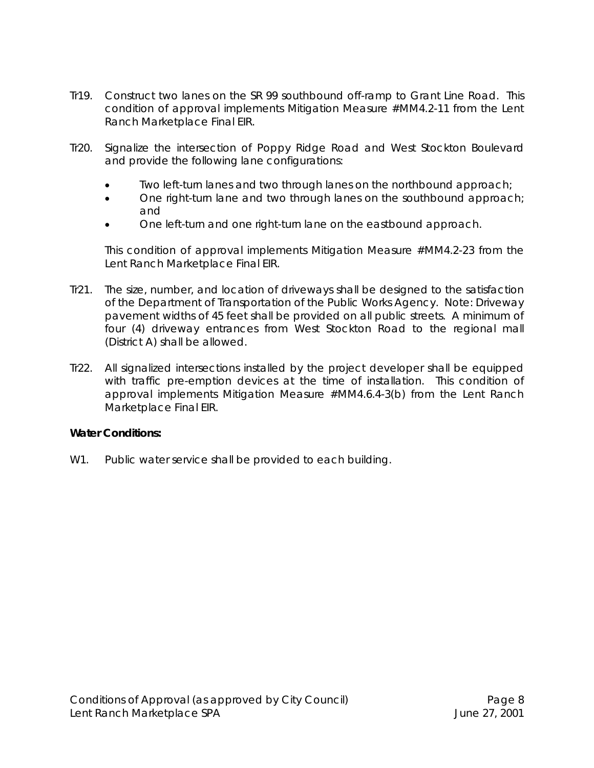- Tr19. Construct two lanes on the SR 99 southbound off-ramp to Grant Line Road. *This condition of approval implements Mitigation Measure #MM4.2-11 from the Lent Ranch Marketplace Final EIR.*
- Tr20. Signalize the intersection of Poppy Ridge Road and West Stockton Boulevard and provide the following lane configurations:
	- Two left-turn lanes and two through lanes on the northbound approach;
	- One right-turn lane and two through lanes on the southbound approach; and
	- One left-turn and one right-turn lane on the eastbound approach.

*This condition of approval implements Mitigation Measure #MM4.2-23 from the Lent Ranch Marketplace Final EIR.*

- Tr21. The size, number, and location of driveways shall be designed to the satisfaction of the Department of Transportation of the Public Works Agency. Note: Driveway pavement widths of 45 feet shall be provided on all public streets. A minimum of four (4) driveway entrances from West Stockton Road to the regional mall (District A) shall be allowed.
- Tr22. All signalized intersections installed by the project developer shall be equipped with traffic pre-emption devices at the time of installation. *This condition of approval implements Mitigation Measure #MM4.6.4-3(b) from the Lent Ranch Marketplace Final EIR.*

#### **Water Conditions:**

W1. Public water service shall be provided to each building.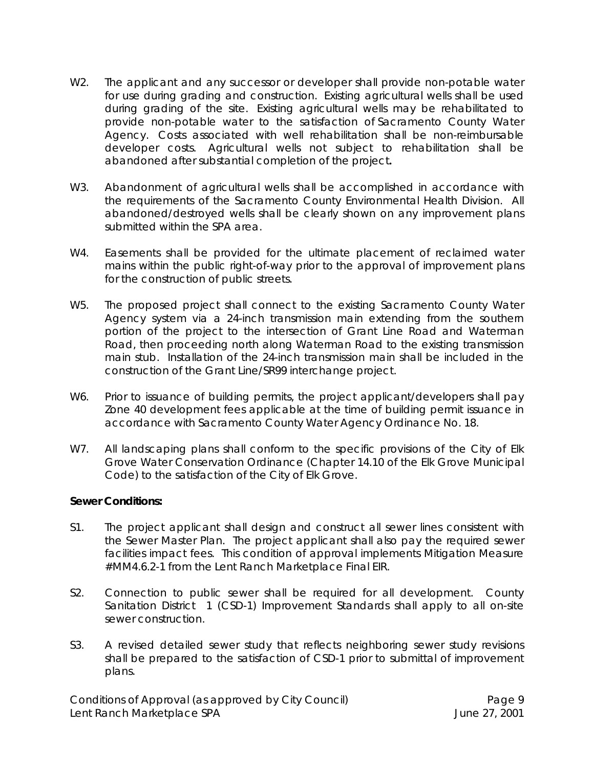- W2. The applicant and any successor or developer shall provide non-potable water for use during grading and construction. Existing agricultural wells shall be used during grading of the site. Existing agricultural wells may be rehabilitated to provide non-potable water to the satisfaction of Sacramento County Water Agency. Costs associated with well rehabilitation shall be non-reimbursable developer costs. Agricultural wells not subject to rehabilitation shall be abandoned after substantial completion of the project**.**
- W3. Abandonment of agricultural wells shall be accomplished in accordance with the requirements of the Sacramento County Environmental Health Division. All abandoned/destroyed wells shall be clearly shown on any improvement plans submitted within the SPA area.
- W4. Easements shall be provided for the ultimate placement of reclaimed water mains within the public right-of-way prior to the approval of improvement plans for the construction of public streets.
- W5. The proposed project shall connect to the existing Sacramento County Water Agency system via a 24-inch transmission main extending from the southern portion of the project to the intersection of Grant Line Road and Waterman Road, then proceeding north along Waterman Road to the existing transmission main stub. Installation of the 24-inch transmission main shall be included in the construction of the Grant Line/SR99 interchange project.
- W6. Prior to issuance of building permits, the project applicant/developers shall pay Zone 40 development fees applicable at the time of building permit issuance in accordance with Sacramento County Water Agency Ordinance No. 18.
- W7. All landscaping plans shall conform to the specific provisions of the City of Elk Grove Water Conservation Ordinance (Chapter 14.10 of the Elk Grove Municipal Code) to the satisfaction of the City of Elk Grove.

#### **Sewer Conditions:**

- S1. The project applicant shall design and construct all sewer lines consistent with the Sewer Master Plan. The project applicant shall also pay the required sewer facilities impact fees. *This condition of approval implements Mitigation Measure #MM4.6.2-1 from the Lent Ranch Marketplace Final EIR.*
- S2. Connection to public sewer shall be required for all development. County Sanitation District 1 (CSD-1) Improvement Standards shall apply to all on-site sewer construction.
- S3. A revised detailed sewer study that reflects neighboring sewer study revisions shall be prepared to the satisfaction of CSD-1 prior to submittal of improvement plans.

Conditions of Approval (as approved by City Council) example 20 Page 9 Lent Ranch Marketplace SPA June 27, 2001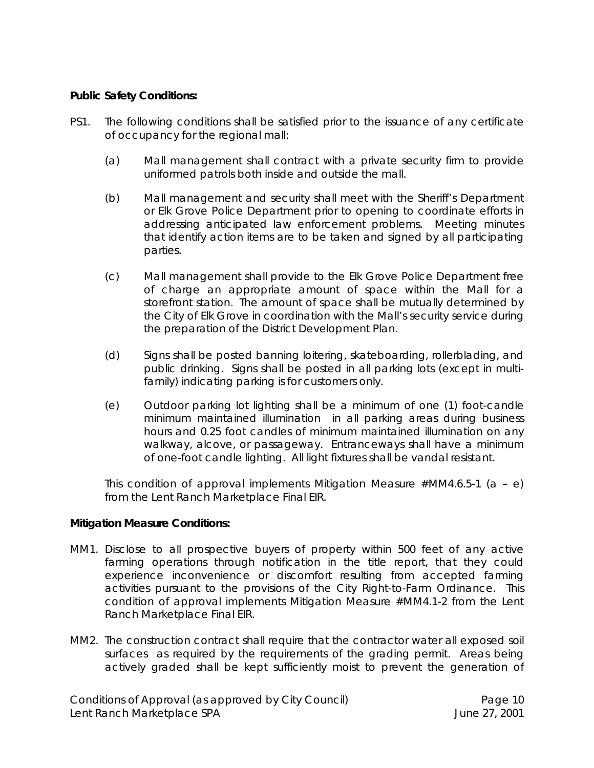# **Public Safety Conditions:**

- PS1. The following conditions shall be satisfied prior to the issuance of any certificate of occupancy for the regional mall:
	- (a) Mall management shall contract with a private security firm to provide uniformed patrols both inside and outside the mall.
	- (b) Mall management and security shall meet with the Sheriff's Department or Elk Grove Police Department prior to opening to coordinate efforts in addressing anticipated law enforcement problems. Meeting minutes that identify action items are to be taken and signed by all participating parties.
	- (c) Mall management shall provide to the Elk Grove Police Department free of charge an appropriate amount of space within the Mall for a storefront station. The amount of space shall be mutually determined by the City of Elk Grove in coordination with the Mall's security service during the preparation of the District Development Plan.
	- (d) Signs shall be posted banning loitering, skateboarding, rollerblading, and public drinking. Signs shall be posted in all parking lots (except in multifamily) indicating parking is for customers only.
	- (e) Outdoor parking lot lighting shall be a minimum of one (1) foot-candle minimum maintained illumination in all parking areas during business hours and 0.25 foot candles of minimum maintained illumination on any walkway, alcove, or passageway. Entranceways shall have a minimum of one-foot candle lighting. All light fixtures shall be vandal resistant.

*This condition of approval implements Mitigation Measure #MM4.6.5-1 (a – e) from the Lent Ranch Marketplace Final EIR.*

#### **Mitigation Measure Conditions:**

- MM1. Disclose to all prospective buyers of property within 500 feet of any active farming operations through notification in the title report, that they could experience inconvenience or discomfort resulting from accepted farming activities pursuant to the provisions of the City Right-to-Farm Ordinance. *This condition of approval implements Mitigation Measure #MM4.1-2 from the Lent Ranch Marketplace Final EIR.*
- MM2. The construction contract shall require that the contractor water all exposed soil surfaces as required by the requirements of the grading permit. Areas being actively graded shall be kept sufficiently moist to prevent the generation of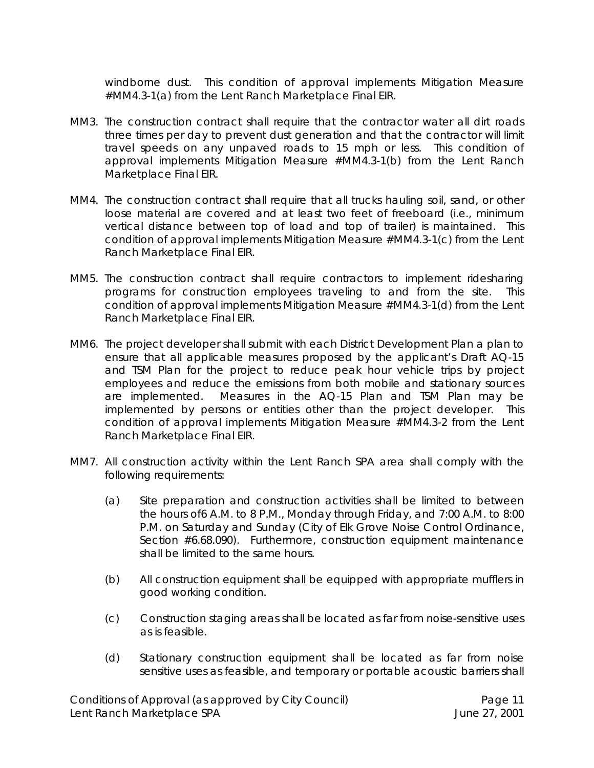windborne dust. *This condition of approval implements Mitigation Measure #MM4.3-1(a) from the Lent Ranch Marketplace Final EIR.*

- MM3. The construction contract shall require that the contractor water all dirt roads three times per day to prevent dust generation and that the contractor will limit travel speeds on any unpaved roads to 15 mph or less. *This condition of approval implements Mitigation Measure #MM4.3-1(b) from the Lent Ranch Marketplace Final EIR.*
- MM4. The construction contract shall require that all trucks hauling soil, sand, or other loose material are covered and at least two feet of freeboard (i.e., minimum vertical distance between top of load and top of trailer) is maintained. *This condition of approval implements Mitigation Measure #MM4.3-1(c) from the Lent Ranch Marketplace Final EIR.*
- MM5. The construction contract shall require contractors to implement ridesharing programs for construction employees traveling to and from the site. *This condition of approval implements Mitigation Measure #MM4.3-1(d) from the Lent Ranch Marketplace Final EIR.*
- MM6. The project developer shall submit with each District Development Plan a plan to ensure that all applicable measures proposed by the applicant's Draft AQ-15 and TSM Plan for the project to reduce peak hour vehicle trips by project employees and reduce the emissions from both mobile and stationary sources are implemented. Measures in the AQ-15 Plan and TSM Plan may be implemented by persons or entities other than the project developer. *This condition of approval implements Mitigation Measure #MM4.3-2 from the Lent Ranch Marketplace Final EIR.*
- MM7. All construction activity within the Lent Ranch SPA area shall comply with the following requirements:
	- (a) Site preparation and construction activities shall be limited to between the hours of6 A.M. to 8 P.M., Monday through Friday, and 7:00 A.M. to 8:00 P.M. on Saturday and Sunday (City of Elk Grove Noise Control Ordinance, Section #6.68.090). Furthermore, construction equipment maintenance shall be limited to the same hours.
	- (b) All construction equipment shall be equipped with appropriate mufflers in good working condition.
	- (c) Construction staging areas shall be located as far from noise-sensitive uses as is feasible.
	- (d) Stationary construction equipment shall be located as far from noise sensitive uses as feasible, and temporary or portable acoustic barriers shall

Conditions of Approval (as approved by City Council) Page 11 Lent Ranch Marketplace SPA **June 27, 2001**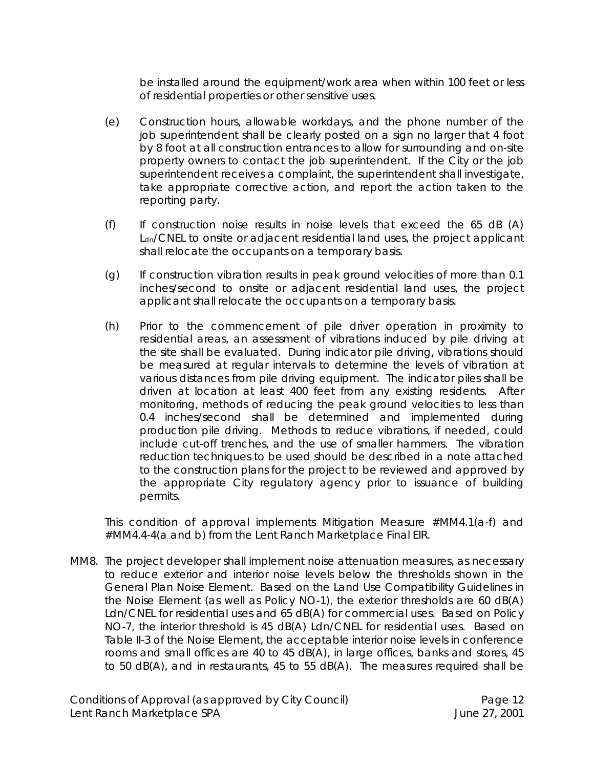be installed around the equipment/work area when within 100 feet or less of residential properties or other sensitive uses.

- (e) Construction hours, allowable workdays, and the phone number of the job superintendent shall be clearly posted on a sign no larger that 4 foot by 8 foot at all construction entrances to allow for surrounding and on-site property owners to contact the job superintendent. If the City or the job superintendent receives a complaint, the superintendent shall investigate, take appropriate corrective action, and report the action taken to the reporting party.
- (f) If construction noise results in noise levels that exceed the 65 dB (A) L<sub>dn</sub>/CNEL to onsite or adjacent residential land uses, the project applicant shall relocate the occupants on a temporary basis.
- (g) If construction vibration results in peak ground velocities of more than 0.1 inches/second to onsite or adjacent residential land uses, the project applicant shall relocate the occupants on a temporary basis.
- (h) Prior to the commencement of pile driver operation in proximity to residential areas, an assessment of vibrations induced by pile driving at the site shall be evaluated. During indicator pile driving, vibrations should be measured at regular intervals to determine the levels of vibration at various distances from pile driving equipment. The indicator piles shall be driven at location at least 400 feet from any existing residents. After monitoring, methods of reducing the peak ground velocities to less than 0.4 inches/second shall be determined and implemented during production pile driving. Methods to reduce vibrations, if needed, could include cut-off trenches, and the use of smaller hammers. The vibration reduction techniques to be used should be described in a note attached to the construction plans for the project to be reviewed and approved by the appropriate City regulatory agency prior to issuance of building permits.

*This condition of approval implements Mitigation Measure #MM4.1(a-f) and #MM4.4-4(a and b) from the Lent Ranch Marketplace Final EIR.*

MM8. The project developer shall implement noise attenuation measures, as necessary to reduce exterior and interior noise levels below the thresholds shown in the *General Plan* Noise Element. Based on the Land Use Compatibility Guidelines in the Noise Element (as well as Policy NO-1), the exterior thresholds are 60 dB(A) Ldn/CNEL for residential uses and 65 dB(A) for commercial uses. Based on Policy NO-7, the interior threshold is 45 dB(A) Ldn/CNEL for residential uses. Based on Table II-3 of the Noise Element, the acceptable interior noise levels in conference rooms and small offices are 40 to 45 dB(A), in large offices, banks and stores, 45 to 50 dB(A), and in restaurants, 45 to 55 dB(A). The measures required shall be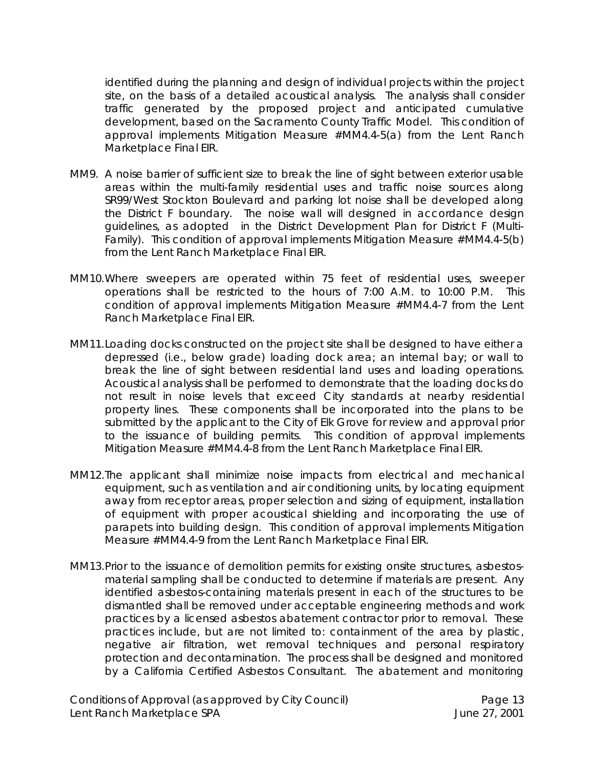identified during the planning and design of individual projects within the project site, on the basis of a detailed acoustical analysis. The analysis shall consider traffic generated by the proposed project and anticipated cumulative development, based on the Sacramento County Traffic Model. *This condition of approval implements Mitigation Measure #MM4.4-5(a) from the Lent Ranch Marketplace Final EIR.*

- MM9. A noise barrier of sufficient size to break the line of sight between exterior usable areas within the multi-family residential uses and traffic noise sources along SR99/West Stockton Boulevard and parking lot noise shall be developed along the District F boundary. The noise wall will designed in accordance design guidelines, as adopted in the District Development Plan for District F (Multi-Family). *This condition of approval implements Mitigation Measure #MM4.4-5(b) from the Lent Ranch Marketplace Final EIR.*
- MM10.Where sweepers are operated within 75 feet of residential uses, sweeper operations shall be restricted to the hours of 7:00 A.M. to 10:00 P.M. *This condition of approval implements Mitigation Measure #MM4.4-7 from the Lent Ranch Marketplace Final EIR.*
- MM11.Loading docks constructed on the project site shall be designed to have either a depressed (i.e., below grade) loading dock area; an internal bay; or wall to break the line of sight between residential land uses and loading operations. Acoustical analysis shall be performed to demonstrate that the loading docks do not result in noise levels that exceed City standards at nearby residential property lines. These components shall be incorporated into the plans to be submitted by the applicant to the City of Elk Grove for review and approval prior to the issuance of building permits. *This condition of approval implements Mitigation Measure #MM4.4-8 from the Lent Ranch Marketplace Final EIR.*
- MM12.The applicant shall minimize noise impacts from electrical and mechanical equipment, such as ventilation and air conditioning units, by locating equipment away from receptor areas, proper selection and sizing of equipment, installation of equipment with proper acoustical shielding and incorporating the use of parapets into building design. *This condition of approval implements Mitigation Measure #MM4.4-9 from the Lent Ranch Marketplace Final EIR.*
- MM13.Prior to the issuance of demolition permits for existing onsite structures, asbestosmaterial sampling shall be conducted to determine if materials are present. Any identified asbestos-containing materials present in each of the structures to be dismantled shall be removed under acceptable engineering methods and work practices by a licensed asbestos abatement contractor prior to removal. These practices include, but are not limited to: containment of the area by plastic, negative air filtration, wet removal techniques and personal respiratory protection and decontamination. The process shall be designed and monitored by a California Certified Asbestos Consultant. The abatement and monitoring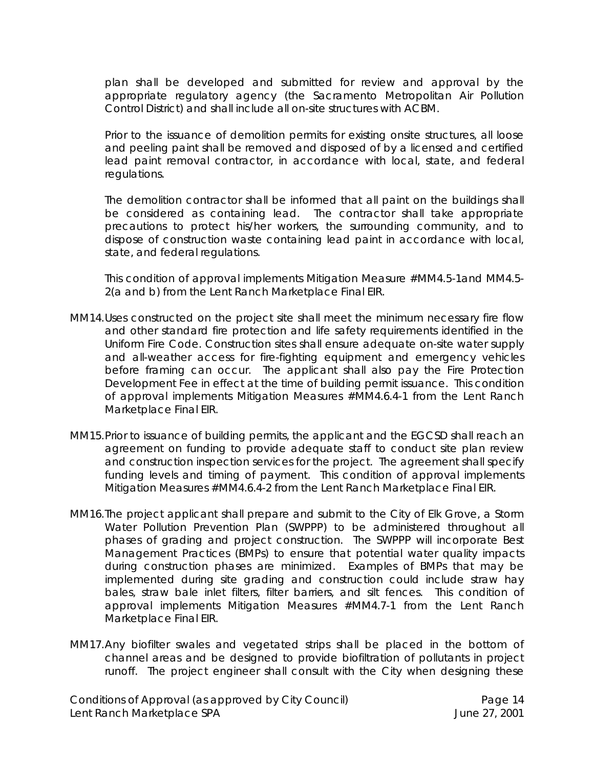plan shall be developed and submitted for review and approval by the appropriate regulatory agency (the Sacramento Metropolitan Air Pollution Control District) and shall include all on-site structures with ACBM.

Prior to the issuance of demolition permits for existing onsite structures, all loose and peeling paint shall be removed and disposed of by a licensed and certified lead paint removal contractor, in accordance with local, state, and federal regulations.

The demolition contractor shall be informed that all paint on the buildings shall be considered as containing lead. The contractor shall take appropriate precautions to protect his/her workers, the surrounding community, and to dispose of construction waste containing lead paint in accordance with local, state, and federal regulations.

*This condition of approval implements Mitigation Measure #MM4.5-1and MM4.5- 2(a and b) from the Lent Ranch Marketplace Final EIR.*

- MM14.Uses constructed on the project site shall meet the minimum necessary fire flow and other standard fire protection and life safety requirements identified in the Uniform Fire Code. Construction sites shall ensure adequate on-site water supply and all-weather access for fire-fighting equipment and emergency vehicles before framing can occur. The applicant shall also pay the Fire Protection Development Fee in effect at the time of building permit issuance*. This condition of approval implements Mitigation Measures #MM4.6.4-1 from the Lent Ranch Marketplace Final EIR*.
- MM15.Prior to issuance of building permits, the applicant and the EGCSD shall reach an agreement on funding to provide adequate staff to conduct site plan review and construction inspection services for the project. The agreement shall specify funding levels and timing of payment. *This condition of approval implements Mitigation Measures #MM4.6.4-2 from the Lent Ranch Marketplace Final EIR.*
- MM16.The project applicant shall prepare and submit to the City of Elk Grove, a Storm Water Pollution Prevention Plan (SWPPP) to be administered throughout all phases of grading and project construction. The SWPPP will incorporate Best Management Practices (BMPs) to ensure that potential water quality impacts during construction phases are minimized. Examples of BMPs that may be implemented during site grading and construction could include straw hay bales, straw bale inlet filters, filter barriers, and silt fences. *This condition of approval implements Mitigation Measures #MM4.7-1 from the Lent Ranch Marketplace Final EIR.*
- MM17.Any biofilter swales and vegetated strips shall be placed in the bottom of channel areas and be designed to provide biofiltration of pollutants in project runoff. The project engineer shall consult with the City when designing these

Conditions of Approval (as approved by City Council) Page 14 Lent Ranch Marketplace SPA **June 27, 2001**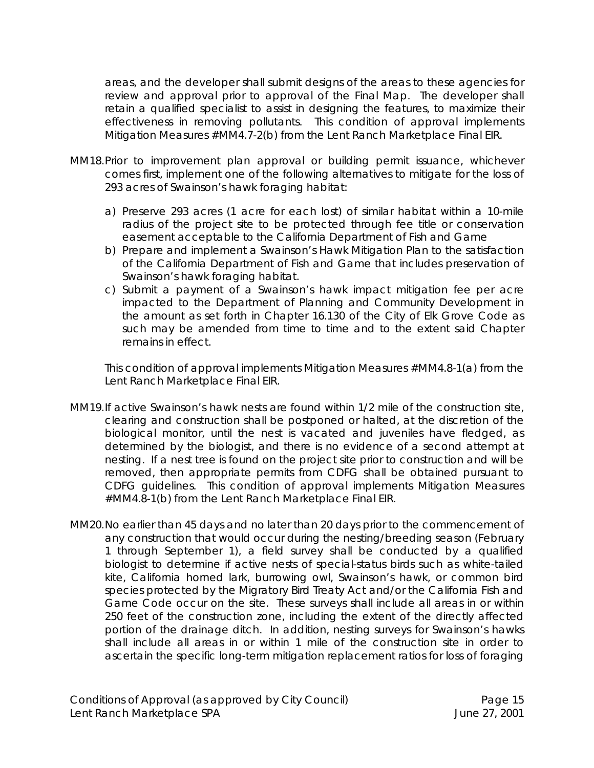areas, and the developer shall submit designs of the areas to these agencies for review and approval prior to approval of the Final Map. The developer shall retain a qualified specialist to assist in designing the features, to maximize their effectiveness in removing pollutants. *This condition of approval implements Mitigation Measures #MM4.7-2(b) from the Lent Ranch Marketplace Final EIR.*

- MM18.Prior to improvement plan approval or building permit issuance, whichever comes first, implement one of the following alternatives to mitigate for the loss of 293 acres of Swainson's hawk foraging habitat:
	- a) Preserve 293 acres (1 acre for each lost) of similar habitat within a 10-mile radius of the project site to be protected through fee title or conservation easement acceptable to the California Department of Fish and Game
	- b) Prepare and implement a Swainson's Hawk Mitigation Plan to the satisfaction of the California Department of Fish and Game that includes preservation of Swainson's hawk foraging habitat.
	- c) Submit a payment of a Swainson's hawk impact mitigation fee per acre impacted to the Department of Planning and Community Development in the amount as set forth in Chapter 16.130 of the City of Elk Grove Code as such may be amended from time to time and to the extent said Chapter remains in effect.

*This condition of approval implements Mitigation Measures #MM4.8-1(a) from the Lent Ranch Marketplace Final EIR.*

- MM19.If active Swainson's hawk nests are found within 1/2 mile of the construction site, clearing and construction shall be postponed or halted, at the discretion of the biological monitor, until the nest is vacated and juveniles have fledged, as determined by the biologist, and there is no evidence of a second attempt at nesting. If a nest tree is found on the project site prior to construction and will be removed, then appropriate permits from CDFG shall be obtained pursuant to CDFG guidelines. *This condition of approval implements Mitigation Measures #MM4.8-1(b) from the Lent Ranch Marketplace Final EIR.*
- MM20.No earlier than 45 days and no later than 20 days prior to the commencement of any construction that would occur during the nesting/breeding season (February 1 through September 1), a field survey shall be conducted by a qualified biologist to determine if active nests of special-status birds such as white-tailed kite, California horned lark, burrowing owl, Swainson's hawk, or common bird species protected by the Migratory Bird Treaty Act and/or the California Fish and Game Code occur on the site. These surveys shall include all areas in or within 250 feet of the construction zone, including the extent of the directly affected portion of the drainage ditch. In addition, nesting surveys for Swainson's hawks shall include all areas in or within 1 mile of the construction site in order to ascertain the specific long-term mitigation replacement ratios for loss of foraging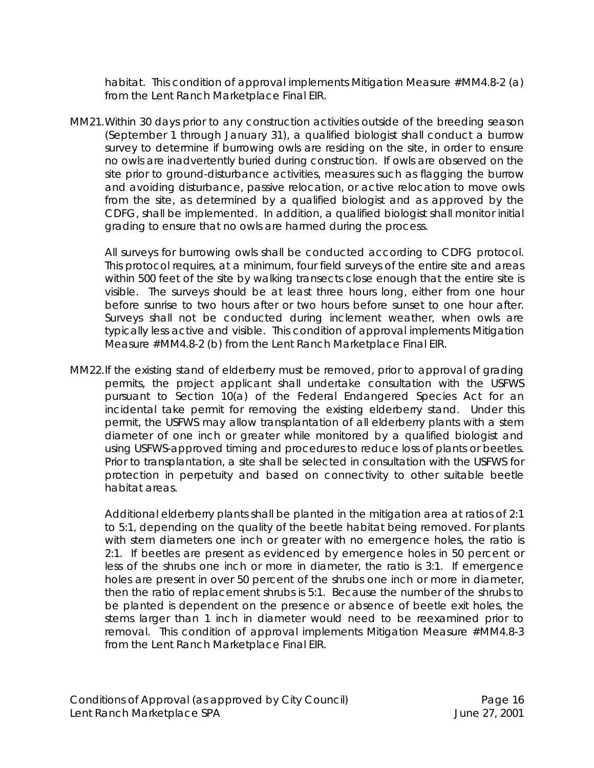habitat. *This condition of approval implements Mitigation Measure #MM4.8-2 (a) from the Lent Ranch Marketplace Final EIR.*

MM21.Within 30 days prior to any construction activities outside of the breeding season (September 1 through January 31), a qualified biologist shall conduct a burrow survey to determine if burrowing owls are residing on the site, in order to ensure no owls are inadvertently buried during construction. If owls are observed on the site prior to ground-disturbance activities, measures such as flagging the burrow and avoiding disturbance, passive relocation, or active relocation to move owls from the site, as determined by a qualified biologist and as approved by the CDFG, shall be implemented. In addition, a qualified biologist shall monitor initial grading to ensure that no owls are harmed during the process.

All surveys for burrowing owls shall be conducted according to CDFG protocol. This protocol requires, at a minimum, four field surveys of the entire site and areas within 500 feet of the site by walking transects close enough that the entire site is visible. The surveys should be at least three hours long, either from one hour before sunrise to two hours after or two hours before sunset to one hour after. Surveys shall not be conducted during inclement weather, when owls are typically less active and visible. *This condition of approval implements Mitigation Measure #MM4.8-2 (b) from the Lent Ranch Marketplace Final EIR.*

MM22.If the existing stand of elderberry must be removed, prior to approval of grading permits, the project applicant shall undertake consultation with the USFWS pursuant to Section 10(a) of the Federal Endangered Species Act for an incidental take permit for removing the existing elderberry stand. Under this permit, the USFWS may allow transplantation of all elderberry plants with a stem diameter of one inch or greater while monitored by a qualified biologist and using USFWS-approved timing and procedures to reduce loss of plants or beetles. Prior to transplantation, a site shall be selected in consultation with the USFWS for protection in perpetuity and based on connectivity to other suitable beetle habitat areas.

Additional elderberry plants shall be planted in the mitigation area at ratios of 2:1 to 5:1, depending on the quality of the beetle habitat being removed. For plants with stem diameters one inch or greater with no emergence holes, the ratio is 2:1. If beetles are present as evidenced by emergence holes in 50 percent or less of the shrubs one inch or more in diameter, the ratio is 3:1. If emergence holes are present in over 50 percent of the shrubs one inch or more in diameter, then the ratio of replacement shrubs is 5:1. Because the number of the shrubs to be planted is dependent on the presence or absence of beetle exit holes, the stems larger than 1 inch in diameter would need to be reexamined prior to removal. *This condition of approval implements Mitigation Measure #MM4.8-3 from the Lent Ranch Marketplace Final EIR.*

Conditions of Approval (as approved by City Council) Page 16 Lent Ranch Marketplace SPA **June 27, 2001**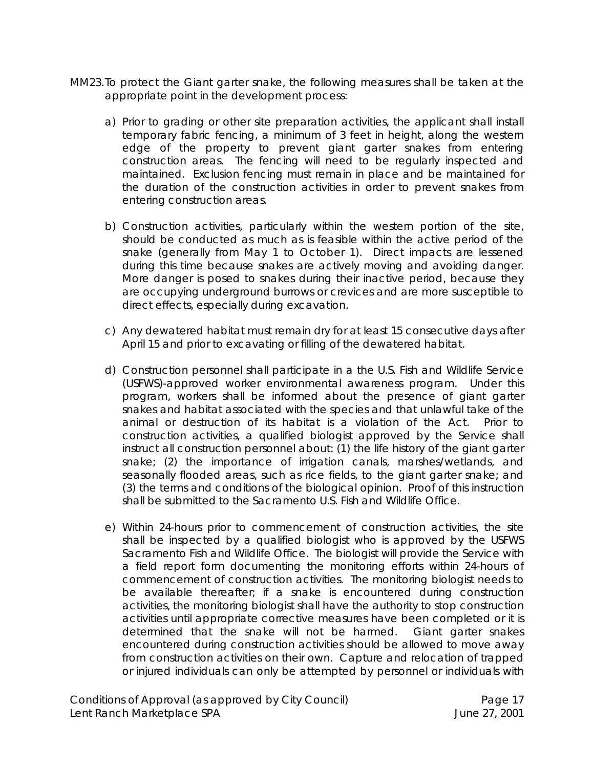- MM23.To protect the Giant garter snake, the following measures shall be taken at the appropriate point in the development process:
	- a) Prior to grading or other site preparation activities, the applicant shall install temporary fabric fencing, a minimum of 3 feet in height, along the western edge of the property to prevent giant garter snakes from entering construction areas. The fencing will need to be regularly inspected and maintained. Exclusion fencing must remain in place and be maintained for the duration of the construction activities in order to prevent snakes from entering construction areas.
	- b) Construction activities, particularly within the western portion of the site, should be conducted as much as is feasible within the active period of the snake (generally from May 1 to October 1). Direct impacts are lessened during this time because snakes are actively moving and avoiding danger. More danger is posed to snakes during their inactive period, because they are occupying underground burrows or crevices and are more susceptible to direct effects, especially during excavation.
	- c) Any dewatered habitat must remain dry for at least 15 consecutive days after April 15 and prior to excavating or filling of the dewatered habitat.
	- d) Construction personnel shall participate in a the U.S. Fish and Wildlife Service (USFWS)-approved worker environmental awareness program. Under this program, workers shall be informed about the presence of giant garter snakes and habitat associated with the species and that unlawful take of the animal or destruction of its habitat is a violation of the Act. Prior to construction activities, a qualified biologist approved by the Service shall instruct all construction personnel about: (1) the life history of the giant garter snake; (2) the importance of irrigation canals, marshes/wetlands, and seasonally flooded areas, such as rice fields, to the giant garter snake; and (3) the terms and conditions of the biological opinion. Proof of this instruction shall be submitted to the Sacramento U.S. Fish and Wildlife Office.
	- e) Within 24-hours prior to commencement of construction activities, the site shall be inspected by a qualified biologist who is approved by the USFWS Sacramento Fish and Wildlife Office. The biologist will provide the Service with a field report form documenting the monitoring efforts within 24-hours of commencement of construction activities. The monitoring biologist needs to be available thereafter; if a snake is encountered during construction activities, the monitoring biologist shall have the authority to stop construction activities until appropriate corrective measures have been completed or it is determined that the snake will not be harmed. Giant garter snakes encountered during construction activities should be allowed to move away from construction activities on their own. Capture and relocation of trapped or injured individuals can only be attempted by personnel or individuals with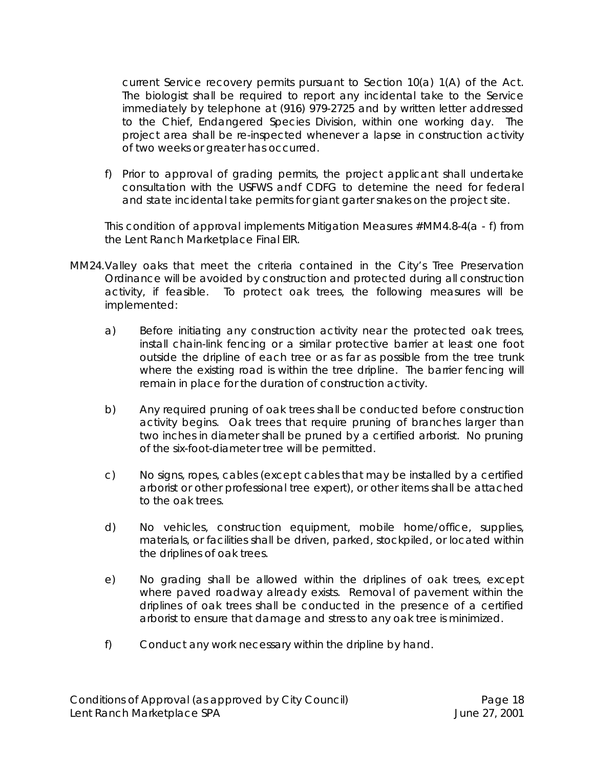current Service recovery permits pursuant to Section 10(a) 1(A) of the Act. The biologist shall be required to report any incidental take to the Service immediately by telephone at (916) 979-2725 and by written letter addressed to the Chief, Endangered Species Division, within one working day. The project area shall be re-inspected whenever a lapse in construction activity of two weeks or greater has occurred.

f) Prior to approval of grading permits, the project applicant shall undertake consultation with the USFWS andf CDFG to detemine the need for federal and state incidental take permits for giant garter snakes on the project site.

*This condition of approval implements Mitigation Measures #MM4.8-4(a - f) from the Lent Ranch Marketplace Final EIR.*

- MM24.Valley oaks that meet the criteria contained in the City's Tree Preservation Ordinance will be avoided by construction and protected during all construction activity, if feasible. To protect oak trees, the following measures will be implemented:
	- a) Before initiating any construction activity near the protected oak trees, install chain-link fencing or a similar protective barrier at least one foot outside the dripline of each tree or as far as possible from the tree trunk where the existing road is within the tree dripline. The barrier fencing will remain in place for the duration of construction activity.
	- b) Any required pruning of oak trees shall be conducted before construction activity begins. Oak trees that require pruning of branches larger than two inches in diameter shall be pruned by a certified arborist. No pruning of the six-foot-diameter tree will be permitted.
	- c) No signs, ropes, cables (except cables that may be installed by a certified arborist or other professional tree expert), or other items shall be attached to the oak trees.
	- d) No vehicles, construction equipment, mobile home/office, supplies, materials, or facilities shall be driven, parked, stockpiled, or located within the driplines of oak trees.
	- e) No grading shall be allowed within the driplines of oak trees, except where paved roadway already exists. Removal of pavement within the driplines of oak trees shall be conducted in the presence of a certified arborist to ensure that damage and stress to any oak tree is minimized.
	- f) Conduct any work necessary within the dripline by hand.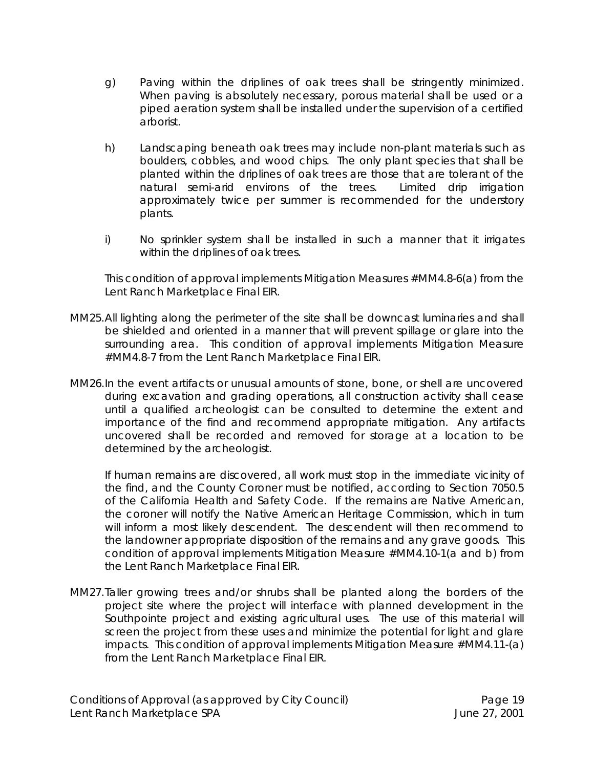- g) Paving within the driplines of oak trees shall be stringently minimized. When paving is absolutely necessary, porous material shall be used or a piped aeration system shall be installed under the supervision of a certified arborist.
- h) Landscaping beneath oak trees may include non-plant materials such as boulders, cobbles, and wood chips. The only plant species that shall be planted within the driplines of oak trees are those that are tolerant of the natural semi-arid environs of the trees. Limited drip irrigation approximately twice per summer is recommended for the understory plants.
- i) No sprinkler system shall be installed in such a manner that it irrigates within the driplines of oak trees.

*This condition of approval implements Mitigation Measures #MM4.8-6(a) from the Lent Ranch Marketplace Final EIR.*

- MM25.All lighting along the perimeter of the site shall be downcast luminaries and shall be shielded and oriented in a manner that will prevent spillage or glare into the surrounding area. *This condition of approval implements Mitigation Measure #MM4.8-7 from the Lent Ranch Marketplace Final EIR.*
- MM26.In the event artifacts or unusual amounts of stone, bone, or shell are uncovered during excavation and grading operations, all construction activity shall cease until a qualified archeologist can be consulted to determine the extent and importance of the find and recommend appropriate mitigation. Any artifacts uncovered shall be recorded and removed for storage at a location to be determined by the archeologist.

If human remains are discovered, all work must stop in the immediate vicinity of the find, and the County Coroner must be notified, according to Section 7050.5 of the California Health and Safety Code. If the remains are Native American, the coroner will notify the Native American Heritage Commission, which in turn will inform a most likely descendent. The descendent will then recommend to the landowner appropriate disposition of the remains and any grave goods. *This condition of approval implements Mitigation Measure #MM4.10-1(a and b) from the Lent Ranch Marketplace Final EIR.*

MM27.Taller growing trees and/or shrubs shall be planted along the borders of the project site where the project will interface with planned development in the Southpointe project and existing agricultural uses. The use of this material will screen the project from these uses and minimize the potential for light and glare impacts. *This condition of approval implements Mitigation Measure #MM4.11-(a) from the Lent Ranch Marketplace Final EIR.*

Conditions of Approval (as approved by City Council) Fage 19 Lent Ranch Marketplace SPA **June 27, 2001**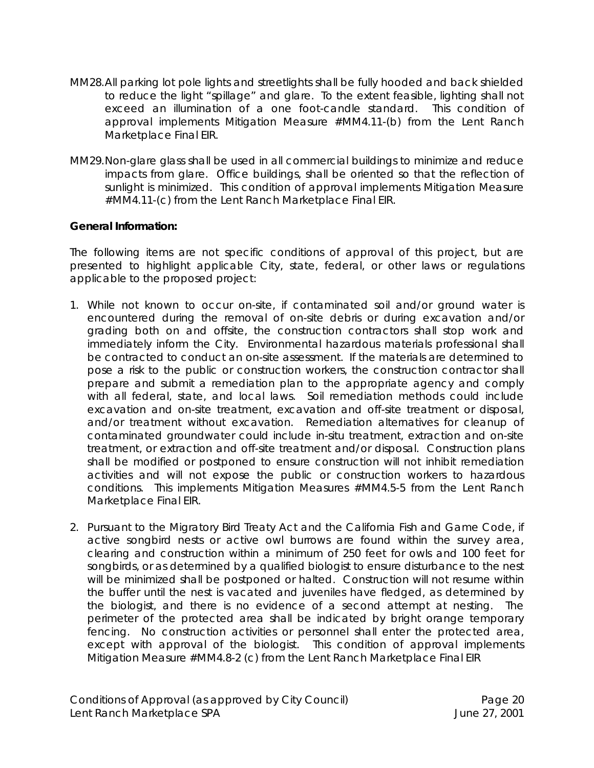- MM28.All parking lot pole lights and streetlights shall be fully hooded and back shielded to reduce the light "spillage" and glare. To the extent feasible, lighting shall not exceed an illumination of a one foot-candle standard. *This condition of approval implements Mitigation Measure #MM4.11-(b) from the Lent Ranch Marketplace Final EIR.*
- MM29.Non-glare glass shall be used in all commercial buildings to minimize and reduce impacts from glare. Office buildings, shall be oriented so that the reflection of sunlight is minimized. *This condition of approval implements Mitigation Measure #MM4.11-(c) from the Lent Ranch Marketplace Final EIR.*

# **General Information:**

The following items are not specific conditions of approval of this project, but are presented to highlight applicable City, state, federal, or other laws or regulations applicable to the proposed project:

- 1. While not known to occur on-site, if contaminated soil and/or ground water is encountered during the removal of on-site debris or during excavation and/or grading both on and offsite, the construction contractors shall stop work and immediately inform the City. Environmental hazardous materials professional shall be contracted to conduct an on-site assessment. If the materials are determined to pose a risk to the public or construction workers, the construction contractor shall prepare and submit a remediation plan to the appropriate agency and comply with all federal, state, and local laws. Soil remediation methods could include excavation and on-site treatment, excavation and off-site treatment or disposal, and/or treatment without excavation. Remediation alternatives for cleanup of contaminated groundwater could include in-situ treatment, extraction and on-site treatment, or extraction and off-site treatment and/or disposal. Construction plans shall be modified or postponed to ensure construction will not inhibit remediation activities and will not expose the public or construction workers to hazardous conditions. *This implements Mitigation Measures #MM4.5-5 from the Lent Ranch Marketplace Final EIR.*
- 2. Pursuant to the Migratory Bird Treaty Act and the California Fish and Game Code, if active songbird nests or active owl burrows are found within the survey area, clearing and construction within a minimum of 250 feet for owls and 100 feet for songbirds, or as determined by a qualified biologist to ensure disturbance to the nest will be minimized shall be postponed or halted. Construction will not resume within the buffer until the nest is vacated and juveniles have fledged, as determined by the biologist, and there is no evidence of a second attempt at nesting. The perimeter of the protected area shall be indicated by bright orange temporary fencing. No construction activities or personnel shall enter the protected area, except with approval of the biologist. *This condition of approval implements Mitigation Measure #MM4.8-2 (c) from the Lent Ranch Marketplace Final EIR*